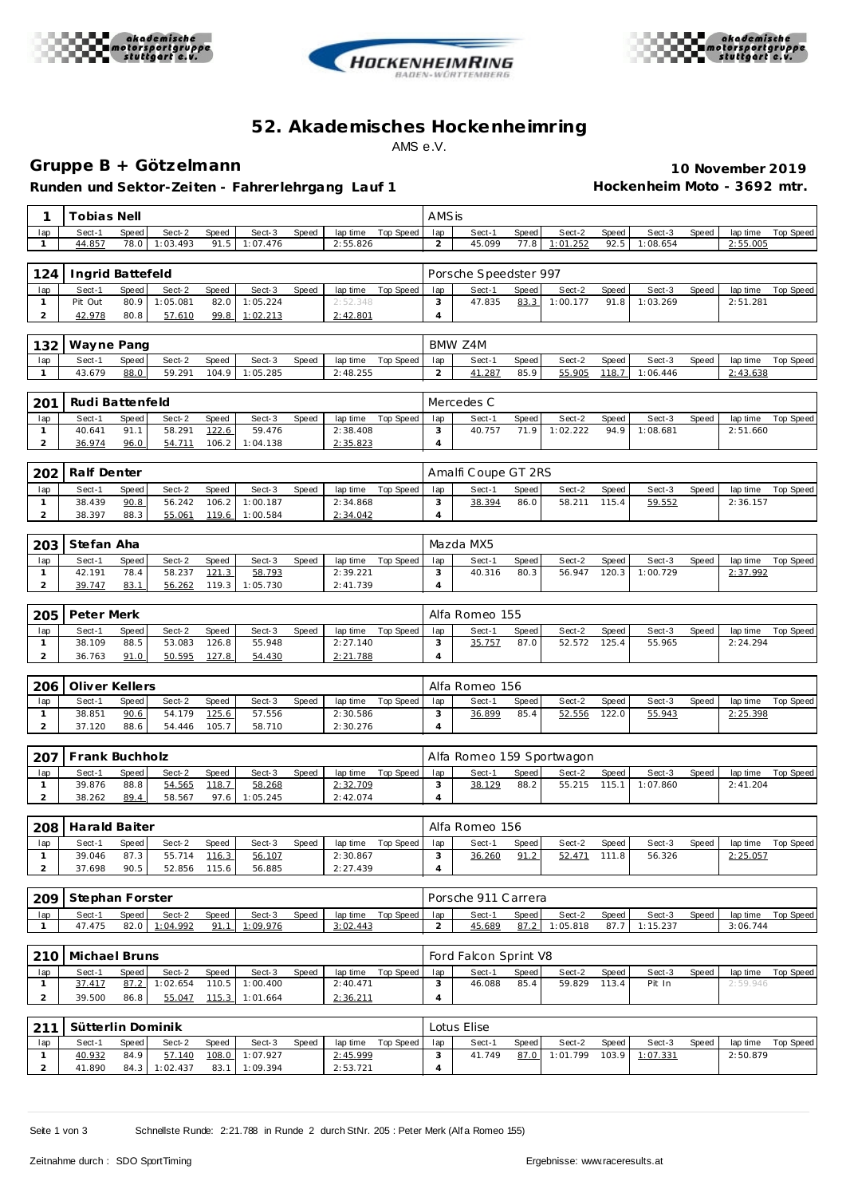





# **52. Akademisches Hockenhe imring** AMS e.V.

## **Gruppe B + Götzelmann 10 November 2019**

**Runden und Sektor-Zeiten - Fahrer lehrgang Lauf 1 Hockenheim Moto - 3692 mtr.**

| 1                   | Tobias Nell       |               |                  |                |                    |       |                      |                    |                | AMSis                     |               |                        |                |                    |       |                      |                    |  |  |
|---------------------|-------------------|---------------|------------------|----------------|--------------------|-------|----------------------|--------------------|----------------|---------------------------|---------------|------------------------|----------------|--------------------|-------|----------------------|--------------------|--|--|
| lap                 | Sect-1            | Speed         | Sect-2           | Speed          | Sect-3             | Speed | lap time             | Top Speed          | lap            | Sect-1                    | <b>Speed</b>  | Sect-2                 | Speed          | Sect-3             | Speed | lap time             | Top Speed          |  |  |
| $\mathbf{1}$        | 44.857            | 78.0          | 1:03.493         | 91.5           | 1:07.476           |       | 2:55.826             |                    | $\overline{c}$ | 45.099                    | 77.8          | 1:01.252               | 92.5           | 1:08.654           |       | 2:55.005             |                    |  |  |
| 124                 | Ingrid Battefeld  |               |                  |                |                    |       |                      |                    |                | Porsche Speedster 997     |               |                        |                |                    |       |                      |                    |  |  |
| lap                 | Sect-1            | Speed         | Sect-2           | Speed          | Sect-3             | Speed | lap time             | Top Speed          | lap            | Sect-1                    | Speed         | Sect-2                 | Speed          | Sect-3             | Speed | lap time             | Top Speed          |  |  |
| $\mathbf{1}$        | Pit Out           | 80.9          | 1:05.081         | 82.0           | 1:05.224           |       | 2:52.348             |                    | 3              | 47.835                    | 83.3          | 1:00.177               | 91.8           | 1:03.269           |       | 2:51.281             |                    |  |  |
| $\overline{a}$      | 42.978            | 80.8          | 57.610           | 99.8           | 1:02.213           |       | 2:42.801             |                    | $\overline{4}$ |                           |               |                        |                |                    |       |                      |                    |  |  |
| 132<br>Wayne Pang   |                   |               |                  |                |                    |       |                      |                    |                | BMW Z4M                   |               |                        |                |                    |       |                      |                    |  |  |
| lap                 | Sect-1            | Speed         | Sect-2           | Speed          | Sect-3             | Speed | lap time             | <b>Top Speed</b>   | lap            | Sect-1                    | Speed         | Sect-2                 | Speed          | Sect-3             | Speed | lap time             | <b>Top Speed</b>   |  |  |
| 1                   | 43.679            | 88.0          | 59.291           | 104.9          | 1:05.285           |       | 2:48.255             |                    | 2              | 41.287                    | 85.9          | 55.905                 | 118.7          | 1:06.446           |       | 2:43.638             |                    |  |  |
|                     |                   |               |                  |                |                    |       |                      |                    |                |                           |               |                        |                |                    |       |                      |                    |  |  |
| 201                 | Rudi Battenfeld   |               |                  |                |                    |       |                      |                    |                | Mercedes C                |               |                        |                |                    |       |                      |                    |  |  |
| lap<br>$\mathbf{1}$ | Sect-1<br>40.641  | Speed<br>91.1 | Sect-2<br>58.291 | Speed<br>122.6 | Sect-3<br>59.476   | Speed | lap time<br>2:38.408 | <b>Top Speed</b>   | lap<br>3       | Sect-1<br>40.757          | Speed<br>71.9 | Sect-2<br>1:02.222     | Speed<br>94.9  | Sect-3<br>1:08.681 | Speed | lap time<br>2:51.660 | Top Speed          |  |  |
| $\overline{a}$      | 36.974            | 96.0          | 54.711           | 106.2          | 1:04.138           |       | 2:35.823             |                    | $\overline{4}$ |                           |               |                        |                |                    |       |                      |                    |  |  |
|                     |                   |               |                  |                |                    |       |                      |                    |                |                           |               |                        |                |                    |       |                      |                    |  |  |
| 202                 | Ralf Denter       |               |                  |                |                    |       |                      |                    |                | Amalfi Coupe GT 2RS       |               |                        |                |                    |       |                      |                    |  |  |
| lap<br>$\mathbf{1}$ | Sect-1<br>38.439  | Speed<br>90.8 | Sect-2<br>56.242 | Speed<br>106.2 | Sect-3<br>1:00.187 | Speed | 2:34.868             | lap time Top Speed | lap<br>3       | Sect-1<br>38.394          | Speed<br>86.0 | Sect-2<br>58.211       | Speed<br>115.4 | Sect-3<br>59.552   | Speed | lap time<br>2:36.157 | <b>Top Speed</b>   |  |  |
| $\overline{a}$      | 38.397            | 88.3          | 55.061           | 119.6          | 1:00.584           |       | 2:34.042             |                    | $\overline{4}$ |                           |               |                        |                |                    |       |                      |                    |  |  |
|                     |                   |               |                  |                |                    |       |                      |                    |                |                           |               |                        |                |                    |       |                      |                    |  |  |
| 203                 | Stefan Aha        |               |                  |                |                    |       |                      |                    | Mazda MX5      |                           |               |                        |                |                    |       |                      |                    |  |  |
| lap<br>$\mathbf{1}$ | Sect-1<br>42.191  | Speed<br>78.4 | Sect-2<br>58.237 | Speed<br>121.3 | Sect-3<br>58.793   | Speed | lap time<br>2:39.221 | Top Speed          | lap<br>3       | Sect-1<br>40.316          | Speed<br>80.3 | Sect-2<br>56.947       | Speed<br>120.3 | Sect-3<br>1:00.729 | Speed | lap time<br>2:37.992 | <b>Top Speed</b>   |  |  |
| $\overline{a}$      | 39.747            | 83.1          | 56.262           | 119.3          | 1:05.730           |       | 2:41.739             |                    | $\overline{4}$ |                           |               |                        |                |                    |       |                      |                    |  |  |
|                     |                   |               |                  |                |                    |       |                      |                    |                |                           |               |                        |                |                    |       |                      |                    |  |  |
| 205                 | Peter Merk        |               |                  |                |                    |       |                      |                    | Alfa Romeo 155 |                           |               |                        |                |                    |       |                      |                    |  |  |
| lap<br>$\mathbf{1}$ | Sect-1<br>38.109  | Speed<br>88.5 | Sect-2<br>53.083 | Speed<br>126.8 | Sect-3<br>55.948   | Speed | lap time<br>2:27.140 | Top Speed          | lap<br>3       | Sect-1<br>35.757          | Speed<br>87.0 | Sect-2<br>52.572       | Speed<br>125.4 | Sect-3<br>55.965   | Speed | lap time<br>2:24.294 | <b>Top Speed</b>   |  |  |
| 2                   | 36.763            | 91.0          | 50.595           | 127.8          | 54.430             |       | 2:21.788             |                    | $\overline{4}$ |                           |               |                        |                |                    |       |                      |                    |  |  |
|                     |                   |               |                  |                |                    |       |                      |                    |                |                           |               |                        |                |                    |       |                      |                    |  |  |
| 206                 | Oliver Kellers    |               |                  |                |                    |       |                      |                    |                | Alfa Romeo 156            |               |                        |                |                    |       |                      |                    |  |  |
| lap<br>$\mathbf{1}$ | Sect-1<br>38.851  | Speed<br>90.6 | Sect-2<br>54.179 | Speed<br>125.6 | Sect-3<br>57.556   | Speed | lap time<br>2:30.586 | <b>Top Speed</b>   | lap<br>3       | Sect-1<br>36.899          | Speed<br>85.4 | Sect-2<br>52.556       | Speed<br>122.0 | Sect-3<br>55.943   | Speed | lap time<br>2:25.398 | <b>Top Speed</b>   |  |  |
| $\overline{a}$      | 37.120            | 88.6          | 54.446           | 105.7          | 58.710             |       | 2:30.276             |                    | $\overline{4}$ |                           |               |                        |                |                    |       |                      |                    |  |  |
|                     |                   |               |                  |                |                    |       |                      |                    |                |                           |               |                        |                |                    |       |                      |                    |  |  |
| 207                 | Frank Buchholz    |               |                  |                |                    |       |                      |                    |                | Alfa Romeo 159 Sportwagon |               |                        |                |                    |       |                      |                    |  |  |
| lap<br>1            | Sect-1<br>39.876  | Speed<br>88.8 | Sect-2<br>54.565 | Speed<br>118.7 | Sect-3<br>58.268   | Speed | lap time<br>2:32.709 | Top Speed          | lap<br>3       | Sect-1<br>38.129          | Speed<br>88.2 | Sect-2<br>55.215       | Speed<br>115.1 | Sect-3<br>1:07.860 | Speed | lap time<br>2:41.204 | <b>Top Speed</b>   |  |  |
| $\overline{2}$      | 38.262            | 89.4          | 58.567           | 97.6           | 1:05.245           |       | 2:42.074             |                    | $\overline{4}$ |                           |               |                        |                |                    |       |                      |                    |  |  |
|                     |                   |               |                  |                |                    |       |                      |                    |                |                           |               |                        |                |                    |       |                      |                    |  |  |
| 208                 | Harald Baiter     |               |                  |                |                    |       |                      |                    |                | Alfa Romeo 156            |               |                        |                |                    |       |                      |                    |  |  |
| lap<br>$\mathbf{1}$ | Sect-1<br>39.046  | Speed<br>87.3 | Sect-2<br>55.714 | Speed<br>116.3 | Sect-3             | Speed | 2:30.867             | laptime lop Speed  | lap<br>3       | Sect-1<br>36.260          | Speed<br>91.2 | Sect-2<br>52.471 111.8 | Speed          | Sect-3<br>56.326   | Speed | 2:25.057             | laptime lop Speed  |  |  |
| $\overline{2}$      | 37.698            | 90.5          | 52.856           | 115.6          | 56.107<br>56.885   |       | 2:27.439             |                    | 4              |                           |               |                        |                |                    |       |                      |                    |  |  |
|                     |                   |               |                  |                |                    |       |                      |                    |                |                           |               |                        |                |                    |       |                      |                    |  |  |
| 209                 | Stephan Forster   |               |                  |                |                    |       |                      |                    |                | Porsche 911 Carrera       |               |                        |                |                    |       |                      |                    |  |  |
| lap                 | Sect-1            | Speed         | Sect-2           | Speed          | Sect-3             | Speed | lap time<br>3:02.443 | Top Speed          | lap            | Sect-1                    | Speed         | Sect-2                 | Speed          | Sect-3             | Speed | lap time<br>3:06.744 | Top Speed          |  |  |
| $\mathbf{1}$        | 47.475            | 82.0          | 1:04.992         | 91.1           | 1:09.976           |       |                      |                    | $\overline{2}$ | 45.689                    | 87.2          | 1:05.818               | 87.7           | 1:15.237           |       |                      |                    |  |  |
| 210                 | Michael Bruns     |               |                  |                |                    |       |                      |                    |                | Ford Falcon Sprint V8     |               |                        |                |                    |       |                      |                    |  |  |
| lap                 | Sect-1            | Speed         | Sect-2           | Speed          | Sect-3             | Speed |                      | lap time Top Speed | lap            | Sect-1                    | Speed         | Sect-2                 | Speed          | Sect-3             | Speed |                      | lap time Top Speed |  |  |
| $\mathbf{1}$        | 37.417            | 87.2          | 1:02.654         | 110.5          | 1:00.400           |       | 2:40.471             |                    | 3              | 46.088                    | 85.4          | 59.829 113.4           |                | Pit In             |       | 2:59.946             |                    |  |  |
| $\overline{a}$      | 39.500            | 86.8          | 55.047           | 115.3          | 1:01.664           |       | 2:36.211             |                    | $\overline{4}$ |                           |               |                        |                |                    |       |                      |                    |  |  |
| 211                 | Sütterlin Dominik |               |                  |                |                    |       |                      |                    |                | Lotus Elise               |               |                        |                |                    |       |                      |                    |  |  |
| lap                 | Sect-1            | Speed         | Sect-2           | Speed          | Sect-3             | Speed |                      | lap time Top Speed | lap            | Sect-1                    | Speed         | Sect-2                 | Speed          | Sect-3             | Speed | lap time             | Top Speed          |  |  |
| $\mathbf{1}$        | 40.932            | 84.9          | 57.140           | 108.0          | 1:07.927           |       | 2:45.999             |                    | 3              | 41.749                    | 87.0          | 1:01.799               | 103.9          | 1:07.331           |       | 2:50.879             |                    |  |  |
| $\overline{a}$      | 41.890            | 84.3          | 1:02.437         | 83.1           | 1:09.394           |       | 2:53.721             |                    | 4              |                           |               |                        |                |                    |       |                      |                    |  |  |

Seite 1 von 3 Schnellste Runde: 2:21.788 in Runde 2 durch StNr. 205 : Peter Merk (Alf a Romeo 155)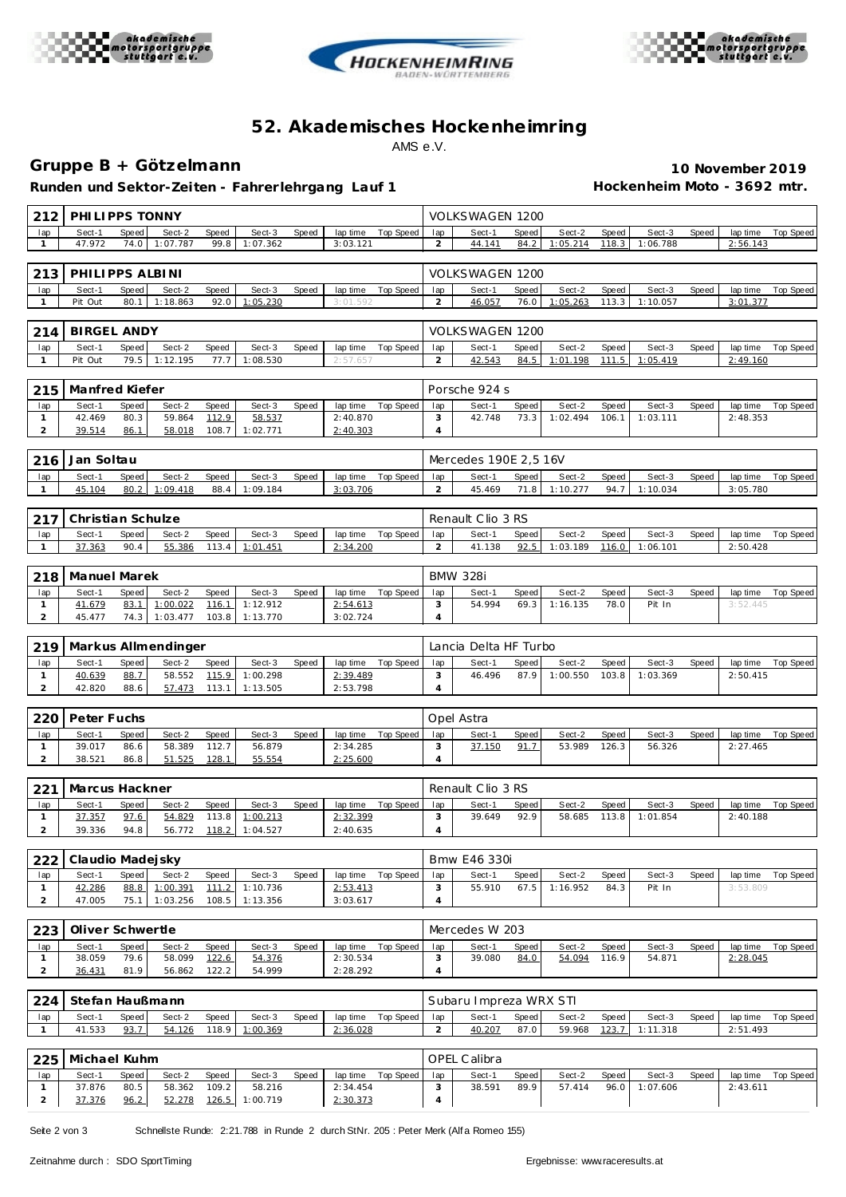





# **52. Akademisches Hockenhe imring** AMS e.V.

### **Gruppe B + Götzelmann 10 November 2019**

Runden und Sektor-Zeiten - Fahrer lehrgang Lauf 1 **Hockenheim Moto - 3692 mtr.** 

| 212                            | PHI LI PPS TONNY  |               |                     |                |                      |       |                      |                    |                                                                                       | VOLKSWAGEN 1200        |                 |                    |                |                    |       |                      |                  |  |  |  |
|--------------------------------|-------------------|---------------|---------------------|----------------|----------------------|-------|----------------------|--------------------|---------------------------------------------------------------------------------------|------------------------|-----------------|--------------------|----------------|--------------------|-------|----------------------|------------------|--|--|--|
| lap                            | Sect-1            | Speed         | Sect-2              | Speed          | Sect-3               | Speed | lap time             | <b>Top Speed</b>   | lap                                                                                   | Sect-1                 | Speed           | Sect-2             | Speed          | Sect-3             | Speed | lap time             | Top Speed        |  |  |  |
| 1                              | 47.972            | 74.0          | 1:07.787            | 99.8           | 1:07.362             |       | 3:03.121             |                    | 2                                                                                     | 44.141                 | 84.2            | 1:05.214           | 118.3          | 1:06.788           |       | 2:56.143             |                  |  |  |  |
| 213                            | PHILIPPS ALBINI   |               |                     |                |                      |       |                      |                    |                                                                                       | <b>VOLKSWAGEN 1200</b> |                 |                    |                |                    |       |                      |                  |  |  |  |
| lap                            | Sect-1            | Speed         | Sect-2              | Speed          | Sect-3               | Speed | lap time             | Top Speed          | lap                                                                                   | Sect-1                 | Speed           | Sect-2             | Speed          | Sect-3             | Speed | lap time             | Top Speed        |  |  |  |
| $\mathbf{1}$                   | Pit Out           | 80.1          | 1:18.863            | 92.0           | 1:05.230             |       | 3:01.592             |                    | $\overline{a}$                                                                        | 46.057                 | 76.0            | 1:05.263           | 113.3          | 1:10.057           |       | 3:01.377             |                  |  |  |  |
|                                |                   |               |                     |                |                      |       |                      |                    |                                                                                       |                        |                 |                    |                |                    |       |                      |                  |  |  |  |
| <b>BIRGEL ANDY</b><br>214      |                   |               |                     |                |                      |       |                      |                    | VOLKSWAGEN 1200                                                                       |                        |                 |                    |                |                    |       |                      |                  |  |  |  |
| lap<br>$\mathbf{1}$            | Sect-1<br>Pit Out | Speed<br>79.5 | Sect-2<br>1:12.195  | Speed<br>77.7  | Sect-3<br>1:08.530   | Speed | lap time<br>2:57.65  | Top Speed          | lap<br>2                                                                              | Sect-1<br>42.543       | Speed<br>84.5   | Sect-2<br>1:01.198 | Speed<br>111.5 | Sect-3<br>1:05.419 | Speed | lap time<br>2:49.160 | Top Speed        |  |  |  |
|                                |                   |               |                     |                |                      |       |                      |                    |                                                                                       |                        |                 |                    |                |                    |       |                      |                  |  |  |  |
| 215<br>Manfred Kiefer          |                   |               |                     |                |                      |       |                      |                    |                                                                                       | Porsche 924 s          |                 |                    |                |                    |       |                      |                  |  |  |  |
| lap                            | Sect-1            | Speed         | Sect-2              | Speed          | Sect-3               | Speed | lap time             | Top Speed          | lap                                                                                   | Sect-1                 | Speed           | Sect-2             | Speed          | Sect-3             | Speed | lap time             | Top Speed        |  |  |  |
| $\mathbf{1}$                   | 42.469            | 80.3          | 59.864              | 112.9          | 58.537               |       | 2:40.870             |                    | 3                                                                                     | 42.748                 | 73.3            | 1:02.494           | 106.1          | 1:03.111           |       | 2:48.353             |                  |  |  |  |
| $\overline{a}$                 | 39.514            | 86.1          | 58.018              | 108.7          | 1:02.771             |       | 2:40.303             |                    | $\overline{4}$                                                                        |                        |                 |                    |                |                    |       |                      |                  |  |  |  |
| 216                            | Jan Soltau        |               |                     |                |                      |       |                      |                    | Mercedes 190E 2,5 16V                                                                 |                        |                 |                    |                |                    |       |                      |                  |  |  |  |
| lap                            | Sect-1            | Speed         | Sect-2              | Speed          | Sect-3               | Speed | lap time             | Top Speed          | lap                                                                                   | Sect-1                 | Speed           | Sect-2             | Speed          | Sect-3             | Speed | lap time             | Top Speed        |  |  |  |
| $\mathbf{1}$                   | 45.104            | 80.2          | 1:09.418            | 88.4           | 1:09.184             |       | 3:03.706             |                    | $\overline{2}$                                                                        | 45.469                 | 71.8            | 1:10.277           | 94.7           | 1:10.034           |       | 3:05.780             |                  |  |  |  |
|                                |                   |               |                     |                |                      |       |                      |                    |                                                                                       |                        |                 |                    |                |                    |       |                      |                  |  |  |  |
| 217                            | Christian Schulze |               |                     |                |                      |       |                      |                    | Renault Clio 3 RS                                                                     |                        |                 |                    |                |                    |       |                      |                  |  |  |  |
| lap<br>1                       | Sect-1<br>37.363  | Speed<br>90.4 | Sect-2<br>55.386    | Speed<br>113.4 | Sect-3<br>1:01.451   | Speed | lap time<br>2:34.200 | <b>Top Speed</b>   | lap<br>$\overline{a}$                                                                 | Sect-1<br>41.138       | Speed<br>92.5   | Sect-2<br>1:03.189 | Speed<br>116.0 | Sect-3<br>1:06.101 | Speed | lap time<br>2:50.428 | <b>Top Speed</b> |  |  |  |
|                                |                   |               |                     |                |                      |       |                      |                    |                                                                                       |                        |                 |                    |                |                    |       |                      |                  |  |  |  |
| 218                            | Manuel Marek      |               |                     |                |                      |       |                      |                    |                                                                                       |                        | <b>BMW 328i</b> |                    |                |                    |       |                      |                  |  |  |  |
| lap                            | Sect-1            | Speed         | Sect-2              | Speed          | Sect-3               | Speed | lap time             | Top Speed          | lap                                                                                   | Sect-1                 | Speed           | Sect-2             | Speed          | Sect-3             | Speed | lap time             | Top Speed        |  |  |  |
| $\mathbf{1}$                   | 41.679            | 83.1          | 1:00.022            | 116.1          | 1:12.912             |       | 2:54.613             |                    | 3                                                                                     | 54.994                 | 69.3            | 1:16.135           | 78.0           | Pit In             |       | 3:52.445             |                  |  |  |  |
| $\overline{a}$                 | 45.477            | 74.3          | 1:03.477            | 103.8          | 1:13.770             |       | 3:02.724             |                    | $\overline{4}$                                                                        |                        |                 |                    |                |                    |       |                      |                  |  |  |  |
| 219                            |                   |               | Markus Allmendinger |                |                      |       |                      |                    | Lancia Delta HF Turbo                                                                 |                        |                 |                    |                |                    |       |                      |                  |  |  |  |
| lap                            | Sect-1            | Speed         | Sect-2              | Speed          | Sect-3               | Speed | lap time             | Top Speed          | Sect-1<br>Sect-2<br>Sect-3<br>lap time<br>Top Speed<br>lap<br>Speed<br>Speed<br>Speed |                        |                 |                    |                |                    |       |                      |                  |  |  |  |
| $\mathbf{1}$                   | 40.639            | 88.7          | 58.552              | 115.9          | 1:00.298             |       | 2:39.489             |                    | 3                                                                                     | 46.496                 | 87.9            | 1:00.550           | 103.8          | 1:03.369           |       | 2:50.415             |                  |  |  |  |
| $\overline{a}$                 | 42.820            | 88.6          | 57.473              | 113.1          | 1:13.505             |       | 2:53.798             |                    | $\overline{4}$                                                                        |                        |                 |                    |                |                    |       |                      |                  |  |  |  |
|                                |                   |               |                     |                |                      |       |                      |                    |                                                                                       |                        |                 |                    |                |                    |       |                      |                  |  |  |  |
| 220                            | Peter Fuchs       |               |                     |                |                      |       |                      |                    |                                                                                       | Opel Astra             |                 |                    |                |                    |       |                      |                  |  |  |  |
| lap<br>1                       | Sect-1<br>39.017  | Speed<br>86.6 | Sect-2<br>58.389    | Speed<br>112.7 | Sect-3<br>56.879     | Speed | lap time<br>2:34.285 | Top Speed          | lap<br>3                                                                              | Sect-1<br>37.150       | Speed<br>91.7   | Sect-2<br>53.989   | Speed<br>126.3 | Sect-3<br>56.326   | Speed | lap time<br>2:27.465 | Top Speed        |  |  |  |
| $\overline{a}$                 | 38.521            | 86.8          | 51.525              | 128.1          | 55.554               |       | 2:25.600             |                    | $\overline{4}$                                                                        |                        |                 |                    |                |                    |       |                      |                  |  |  |  |
|                                |                   |               |                     |                |                      |       |                      |                    |                                                                                       |                        |                 |                    |                |                    |       |                      |                  |  |  |  |
| 221                            | Marcus Hackner    |               |                     |                |                      |       |                      |                    | Renault Clio 3 RS                                                                     |                        |                 |                    |                |                    |       |                      |                  |  |  |  |
| lap                            | Sect-1            | Speed         | Sect-2              | Speed          | Sect-3               | Speed |                      | lap time Top Speed | lap                                                                                   | Sect-1                 | Speed           | Sect-2             | Speed          | Sect-3             | Speed | lap time             | Top Speed        |  |  |  |
| $\mathbf{1}$<br>$\overline{a}$ | 37.357<br>39.336  | 97.6<br>94.8  | 54.829<br>56.772    | 113.8<br>118.2 | 1:00.213<br>1:04.527 |       | 2:32.399<br>2:40.635 |                    | 3<br>$\overline{4}$                                                                   | 39.649                 | 92.9            | 58.685             | 113.8          | 1:01.854           |       | 2:40.188             |                  |  |  |  |
|                                |                   |               |                     |                |                      |       |                      |                    |                                                                                       |                        |                 |                    |                |                    |       |                      |                  |  |  |  |
| 222                            | Claudio Madejsky  |               |                     |                |                      |       |                      |                    | Bmw E46 330i                                                                          |                        |                 |                    |                |                    |       |                      |                  |  |  |  |
| lap                            | Sect-1            | Speed         | Sect-2              | Speed          | Sect-3               | Speed | lap time             | Top Speed          | lap                                                                                   | Sect-1                 | Speed           | Sect-2             | Speed          | Sect-3             | Speed | lap time             | Top Speed        |  |  |  |
| $\mathbf{1}$                   | 42.286            | 88.8          | 1:00.391            | 111.2          | 1:10.736             |       | 2:53.413             |                    | 3                                                                                     | 55.910                 | 67.5            | 1:16.952           | 84.3           | Pit In             |       | 3:53.809             |                  |  |  |  |
| $\overline{a}$                 | 47.005            | 75.1          | 1:03.256            | 108.5          | 1:13.356             |       | 3:03.617             |                    | $\overline{4}$                                                                        |                        |                 |                    |                |                    |       |                      |                  |  |  |  |
| 223                            | Oliver Schwertle  |               |                     |                |                      |       |                      |                    |                                                                                       | Mercedes W 203         |                 |                    |                |                    |       |                      |                  |  |  |  |
| lap                            | Sect-1            | Speed         | Sect-2              | Speed          | Sect-3               | Speed | lap time             | Top Speed          | lap                                                                                   | Sect-1                 | Speed           | Sect-2             | Speed          | Sect-3             | Speed | lap time             | Top Speed        |  |  |  |
| $\mathbf{1}$                   | 38.059            | 79.6          | 58.099              | 122.6          | 54.376               |       | 2:30.534             |                    | 3                                                                                     | 39.080                 | 84.0            | 54.094             | 116.9          | 54.871             |       | 2:28.045             |                  |  |  |  |
| $\overline{a}$                 | 36.431            | 81.9          | 56.862              | 122.2          | 54.999               |       | 2:28.292             |                    | $\overline{4}$                                                                        |                        |                 |                    |                |                    |       |                      |                  |  |  |  |
|                                |                   |               |                     |                |                      |       |                      |                    |                                                                                       |                        |                 |                    |                |                    |       |                      |                  |  |  |  |
| 224                            | Stefan Haußmann   |               |                     |                |                      |       |                      |                    |                                                                                       | Subaru Impreza WRX STI |                 |                    |                |                    |       |                      |                  |  |  |  |
| lap<br>$\mathbf{1}$            | Sect-1<br>41.533  | Speed<br>93.7 | Sect-2<br>54.126    | Speed<br>118.9 | Sect-3<br>1:00.369   | Speed | lap time<br>2:36.028 | Top Speed          | lap<br>$\overline{a}$                                                                 | Sect-1<br>40.207       | Speed<br>87.0   | Sect-2<br>59.968   | Speed<br>123.7 | Sect-3<br>1:11.318 | Speed | lap time<br>2:51.493 | Top Speed        |  |  |  |
|                                |                   |               |                     |                |                      |       |                      |                    |                                                                                       |                        |                 |                    |                |                    |       |                      |                  |  |  |  |
| 225<br>Michael Kuhm            |                   |               |                     |                |                      |       |                      |                    |                                                                                       | OPEL Calibra           |                 |                    |                |                    |       |                      |                  |  |  |  |
| lap                            | Sect-1            | Speed         | Sect-2              | Speed          | Sect-3               | Speed | lap time             | Top Speed          | lap                                                                                   | Sect-1                 | Speed           | Sect-2             | Speed          | Sect-3             | Speed | lap time             | Top Speed        |  |  |  |
| 1                              | 37.876            | 80.5          | 58.362              | 109.2          | 58.216               |       | 2:34.454             |                    | 3                                                                                     | 38.591                 | 89.9            | 57.414             | 96.0           | 1:07.606           |       | 2:43.611             |                  |  |  |  |
| $\overline{a}$                 | 37.376            | 96.2          | 52.278              | 126.5          | 1:00.719             |       | 2:30.373             |                    | $\overline{4}$                                                                        |                        |                 |                    |                |                    |       |                      |                  |  |  |  |

Seite 2 von 3 Schnellste Runde: 2:21.788 in Runde 2 durch StNr. 205 : Peter Merk (Alf a Romeo 155)